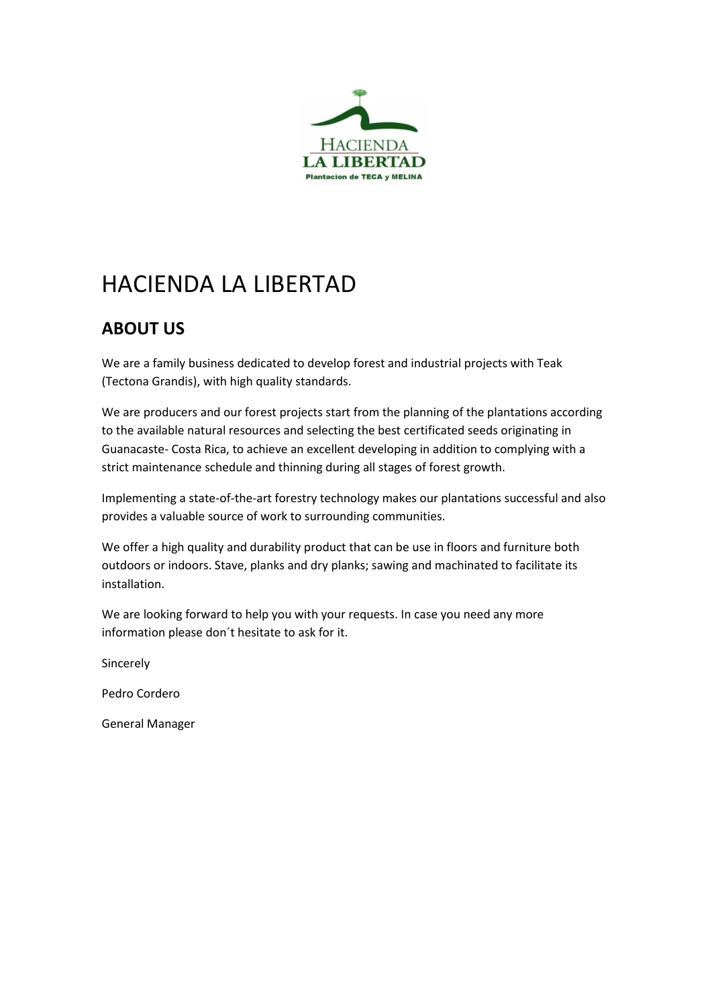

## HACIENDA LA LIBERTAD

## **ABOUT US**

We are a family business dedicated to develop forest and industrial projects with Teak (Tectona Grandis), with high quality standards.

We are producers and our forest projects start from the planning of the plantations according to the available natural resources and selecting the best certificated seeds originating in Guanacaste- Costa Rica, to achieve an excellent developing in addition to complying with a strict maintenance schedule and thinning during all stages of forest growth.

Implementing a state-of-the-art forestry technology makes our plantations successful and also provides a valuable source of work to surrounding communities.

We offer a high quality and durability product that can be use in floors and furniture both outdoors or indoors. Stave, planks and dry planks; sawing and machinated to facilitate its installation.

We are looking forward to help you with your requests. In case you need any more information please don´t hesitate to ask for it.

Sincerely

Pedro Cordero

General Manager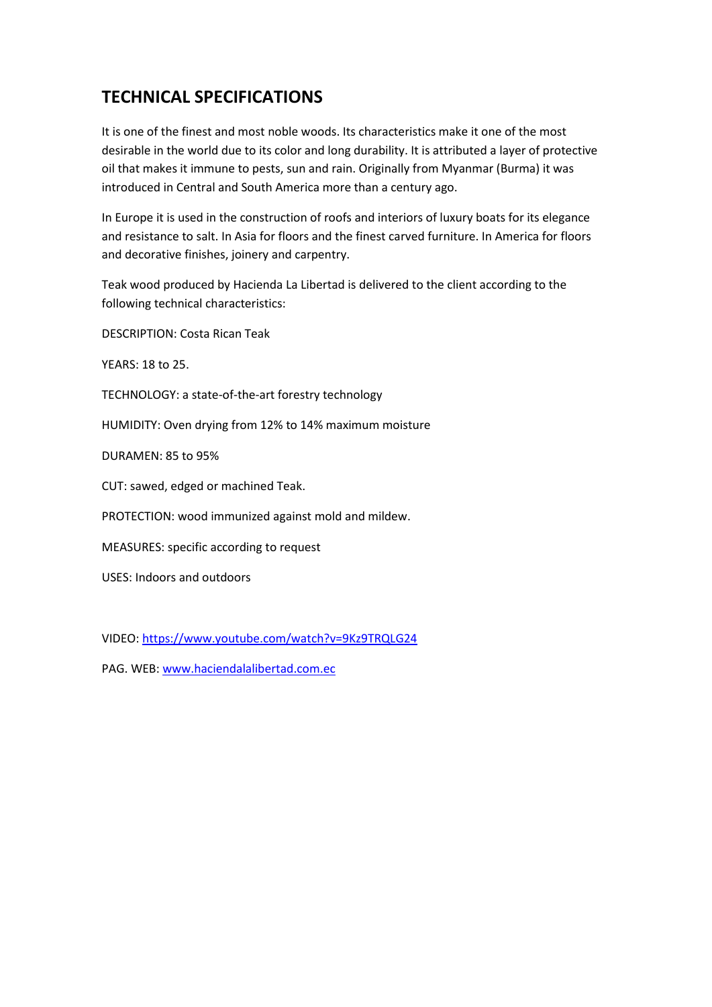## **TECHNICAL SPECIFICATIONS**

It is one of the finest and most noble woods. Its characteristics make it one of the most desirable in the world due to its color and long durability. It is attributed a layer of protective oil that makes it immune to pests, sun and rain. Originally from Myanmar (Burma) it was introduced in Central and South America more than a century ago.

In Europe it is used in the construction of roofs and interiors of luxury boats for its elegance and resistance to salt. In Asia for floors and the finest carved furniture. In America for floors and decorative finishes, joinery and carpentry.

Teak wood produced by Hacienda La Libertad is delivered to the client according to the following technical characteristics:

DESCRIPTION: Costa Rican Teak

YEARS: 18 to 25.

TECHNOLOGY: a state-of-the-art forestry technology

HUMIDITY: Oven drying from 12% to 14% maximum moisture

DURAMEN: 85 to 95%

CUT: sawed, edged or machined Teak.

PROTECTION: wood immunized against mold and mildew.

MEASURES: specific according to request

USES: Indoors and outdoors

VIDEO:<https://www.youtube.com/watch?v=9Kz9TRQLG24>

PAG. WEB: [www.haciendalalibertad.com.ec](http://www.haciendalalibertad.com.ec/)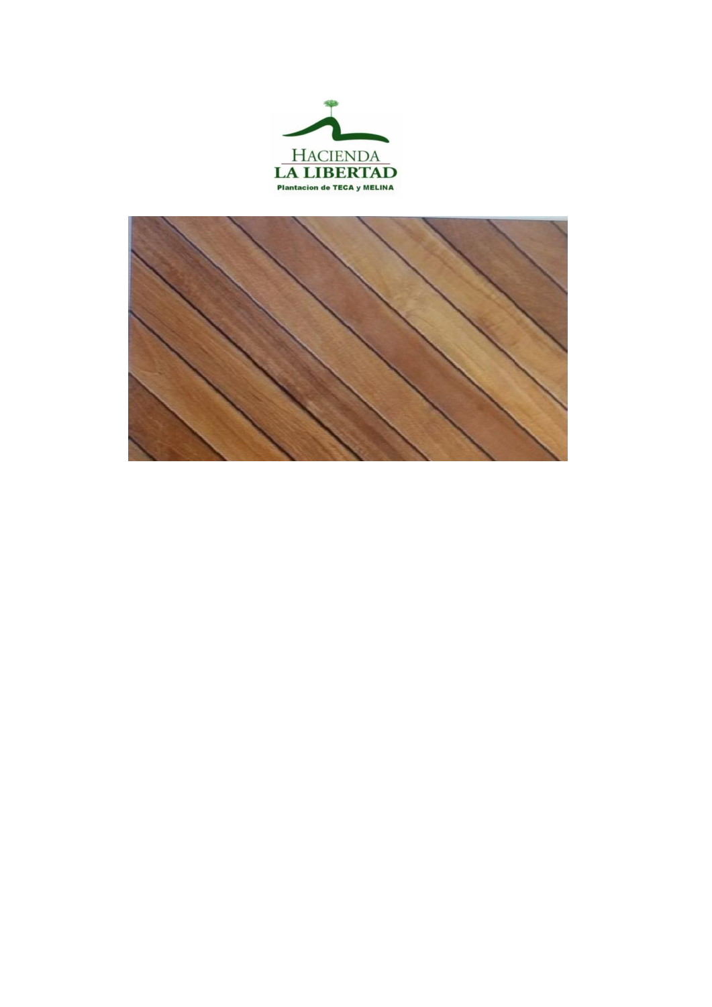

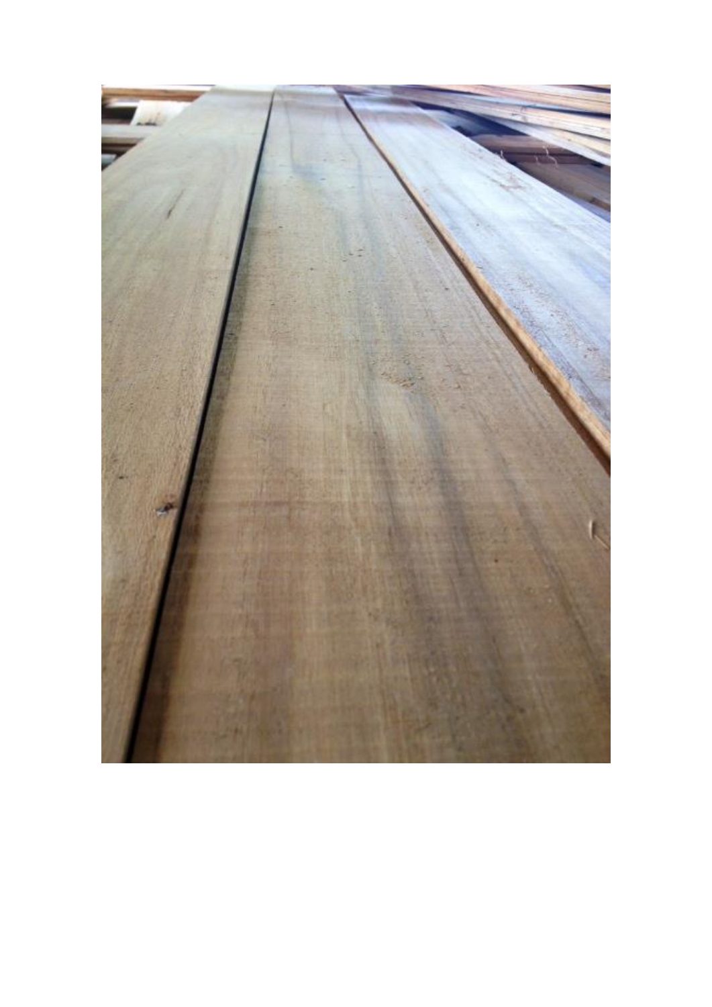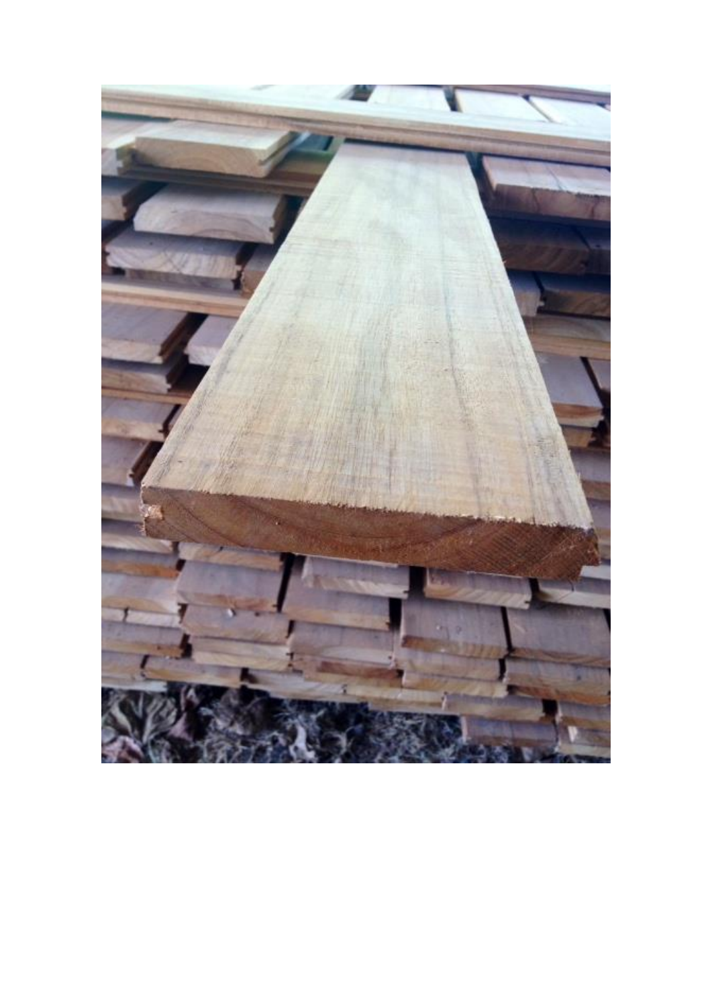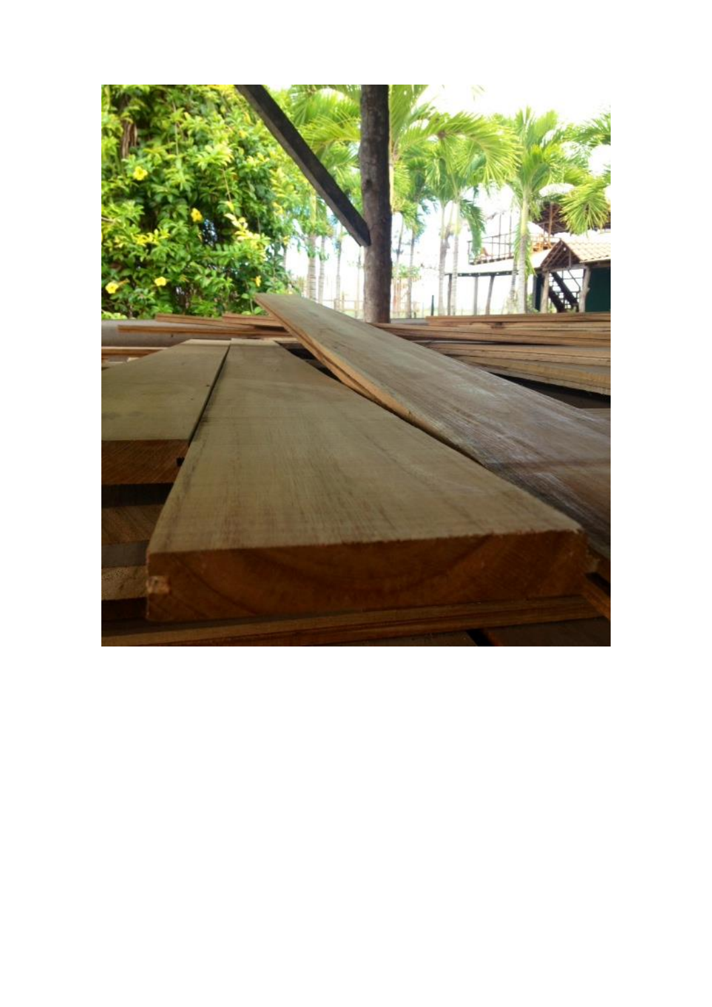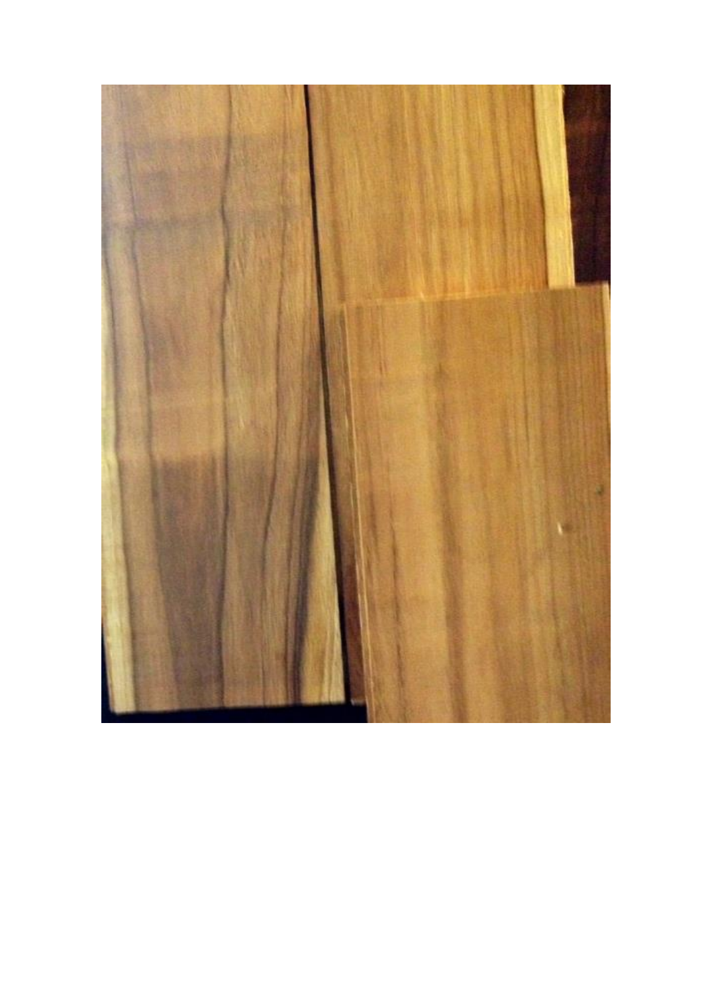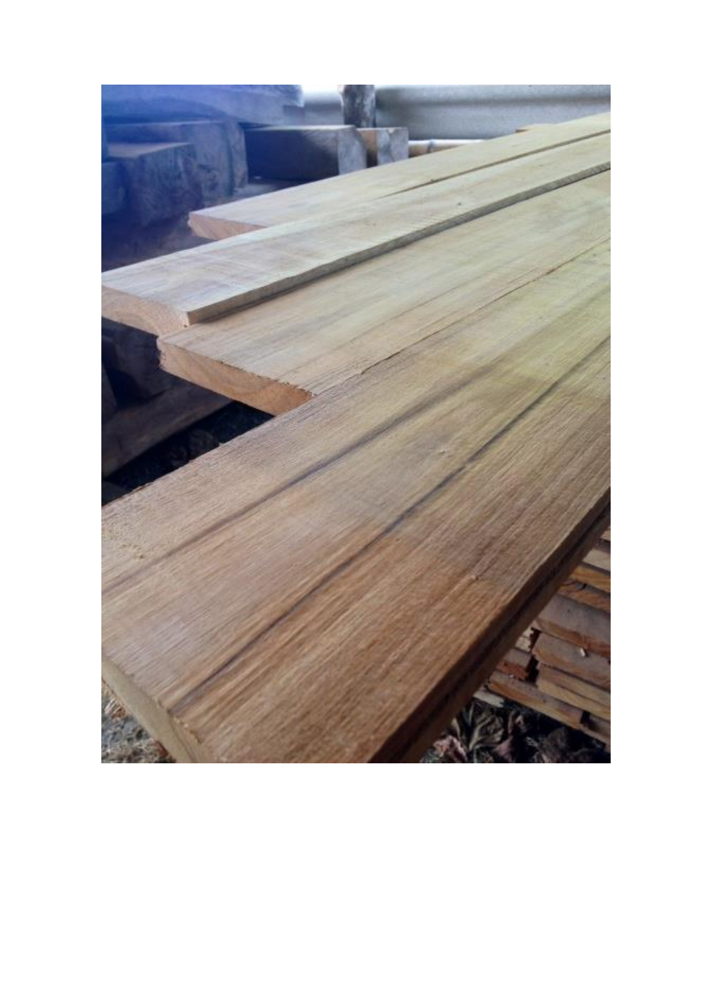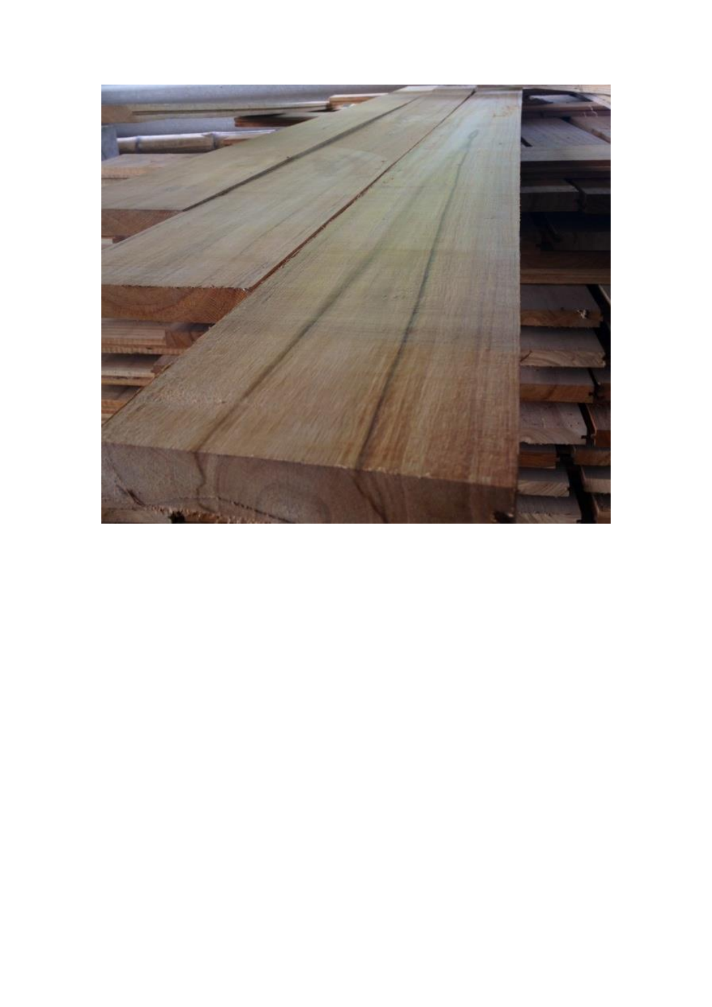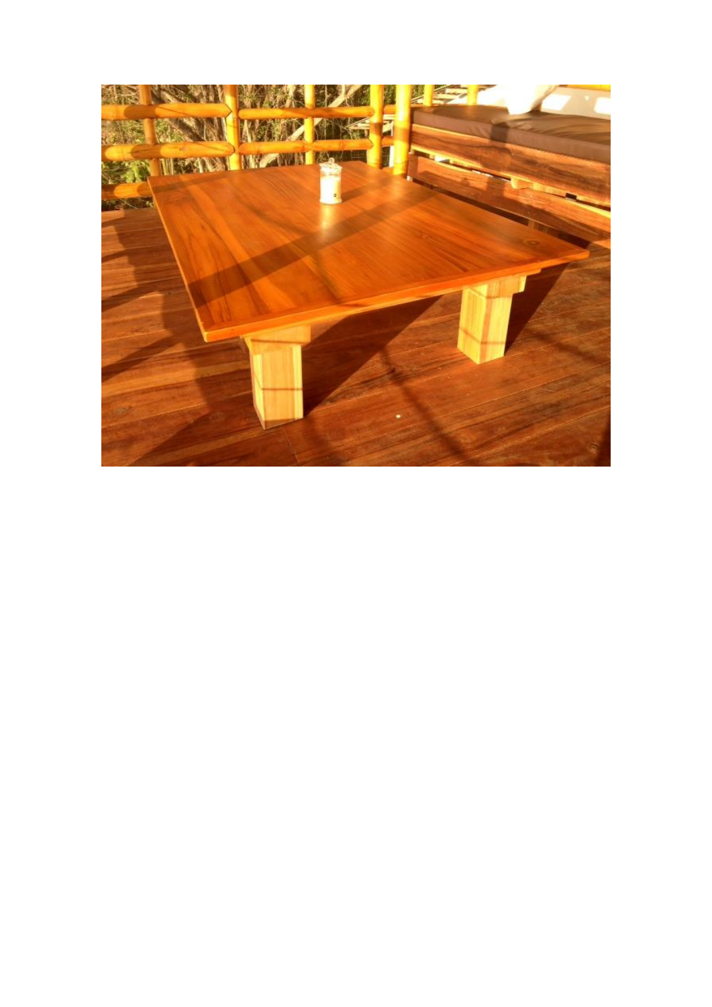